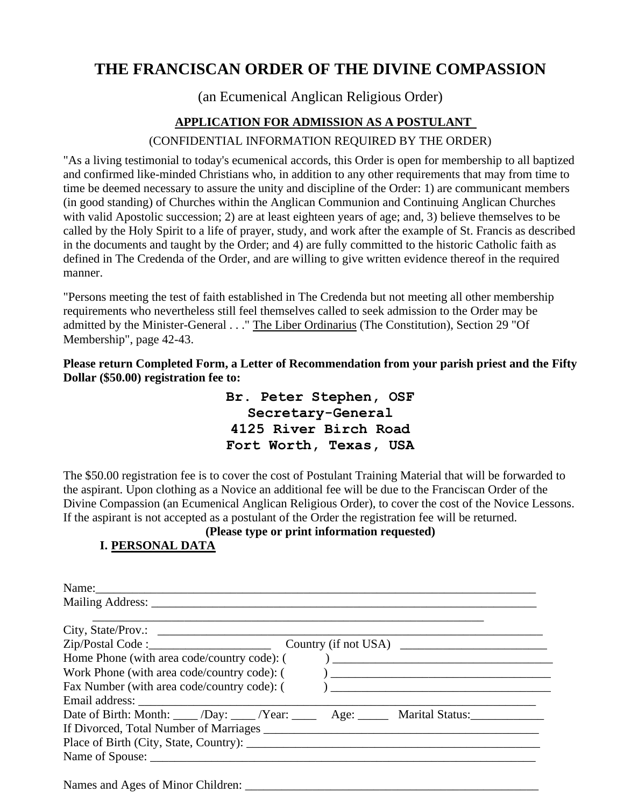# **THE FRANCISCAN ORDER OF THE DIVINE COMPASSION**

(an Ecumenical Anglican Religious Order)

## **APPLICATION FOR ADMISSION AS A POSTULANT**

### (CONFIDENTIAL INFORMATION REQUIRED BY THE ORDER)

"As a living testimonial to today's ecumenical accords, this Order is open for membership to all baptized and confirmed like-minded Christians who, in addition to any other requirements that may from time to time be deemed necessary to assure the unity and discipline of the Order: 1) are communicant members (in good standing) of Churches within the Anglican Communion and Continuing Anglican Churches with valid Apostolic succession; 2) are at least eighteen years of age; and, 3) believe themselves to be called by the Holy Spirit to a life of prayer, study, and work after the example of St. Francis as described in the documents and taught by the Order; and 4) are fully committed to the historic Catholic faith as defined in The Credenda of the Order, and are willing to give written evidence thereof in the required manner.

"Persons meeting the test of faith established in The Credenda but not meeting all other membership requirements who nevertheless still feel themselves called to seek admission to the Order may be admitted by the Minister-General . . ." The Liber Ordinarius (The Constitution), Section 29 "Of Membership", page 42-43.

**Please return Completed Form, a Letter of Recommendation from your parish priest and the Fifty Dollar (\$50.00) registration fee to:** 

> **Br. Peter Stephen, OSF Secretary-General 4125 River Birch Road Fort Worth, Texas, USA**

The \$50.00 registration fee is to cover the cost of Postulant Training Material that will be forwarded to the aspirant. Upon clothing as a Novice an additional fee will be due to the Franciscan Order of the Divine Compassion (an Ecumenical Anglican Religious Order), to cover the cost of the Novice Lessons. If the aspirant is not accepted as a postulant of the Order the registration fee will be returned.

## **(Please type or print information requested)**

## **I. PERSONAL DATA**

| Country (if not USA)                                                                                 |
|------------------------------------------------------------------------------------------------------|
| Home Phone (with area code/country code): ()                                                         |
|                                                                                                      |
| Fax Number (with area code/country code): ( )                                                        |
|                                                                                                      |
| Date of Birth: Month: _____ /Day: _____ /Year: ________ Age: ________ Marital Status: ______________ |
|                                                                                                      |
|                                                                                                      |
|                                                                                                      |

Names and Ages of Minor Children: \_\_\_\_\_\_\_\_\_\_\_\_\_\_\_\_\_\_\_\_\_\_\_\_\_\_\_\_\_\_\_\_\_\_\_\_\_\_\_\_\_\_\_\_\_\_\_\_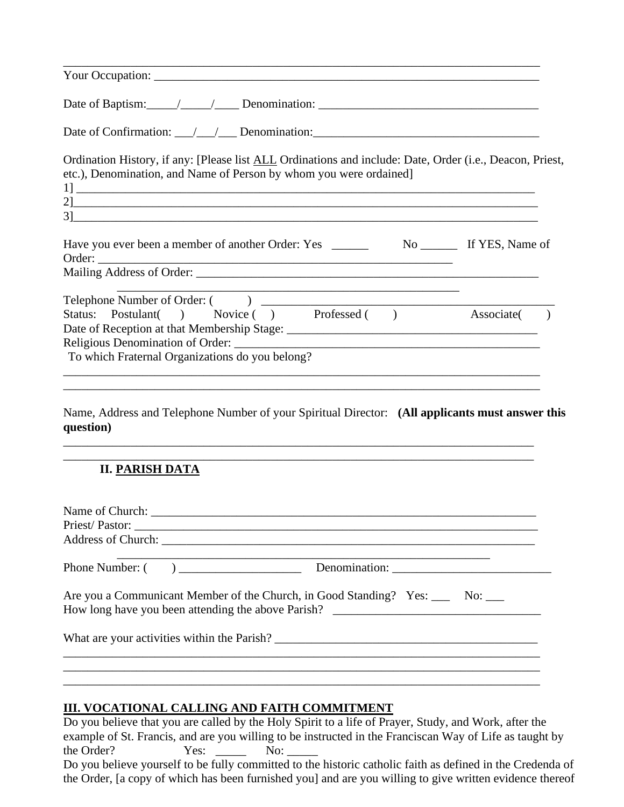| Your Occupation: New York Contract to the Contract of the Contract of the Contract of the Contract of the Contract of the Contract of the Contract of the Contract of the Contract of the Contract of the Contract of the Cont |  |
|--------------------------------------------------------------------------------------------------------------------------------------------------------------------------------------------------------------------------------|--|
|                                                                                                                                                                                                                                |  |
|                                                                                                                                                                                                                                |  |
| Ordination History, if any: [Please list ALL Ordinations and include: Date, Order (i.e., Deacon, Priest,<br>etc.), Denomination, and Name of Person by whom you were ordained]                                                 |  |
|                                                                                                                                                                                                                                |  |
| <u> 1989 - Johann Stoff, amerikansk politiker (* 1908)</u>                                                                                                                                                                     |  |
| Status: Postulant() Novice () Professed () Associate ()<br>To which Fraternal Organizations do you belong?                                                                                                                     |  |
| Name, Address and Telephone Number of your Spiritual Director: (All applicants must answer this<br>question)<br>,我们也不能在这里的时候,我们也不能在这里的时候,我们也不能会在这里的时候,我们也不能会在这里的时候,我们也不能会在这里的时候,我们也不能会在这里的时候,我们也不                              |  |
| <b>II. PARISH DATA</b>                                                                                                                                                                                                         |  |
|                                                                                                                                                                                                                                |  |
| Phone Number: (                                                                                                                                                                                                                |  |
| Are you a Communicant Member of the Church, in Good Standing? Yes: _____ No: ___                                                                                                                                               |  |
|                                                                                                                                                                                                                                |  |
|                                                                                                                                                                                                                                |  |
| ,我们也不能在这里的时候,我们也不能在这里的时候,我们也不能会在这里的时候,我们也不能会在这里的时候,我们也不能会在这里的时候,我们也不能会在这里的时候,我们也不                                                                                                                                              |  |

## **III. VOCATIONAL CALLING AND FAITH COMMITMENT**

Do you believe that you are called by the Holy Spirit to a life of Prayer, Study, and Work, after the example of St. Francis, and are you willing to be instructed in the Franciscan Way of Life as taught by the Order? Yes: \_\_\_\_\_ No: Do you believe yourself to be fully committed to the historic catholic faith as defined in the Credenda of the Order, [a copy of which has been furnished you] and are you willing to give written evidence thereof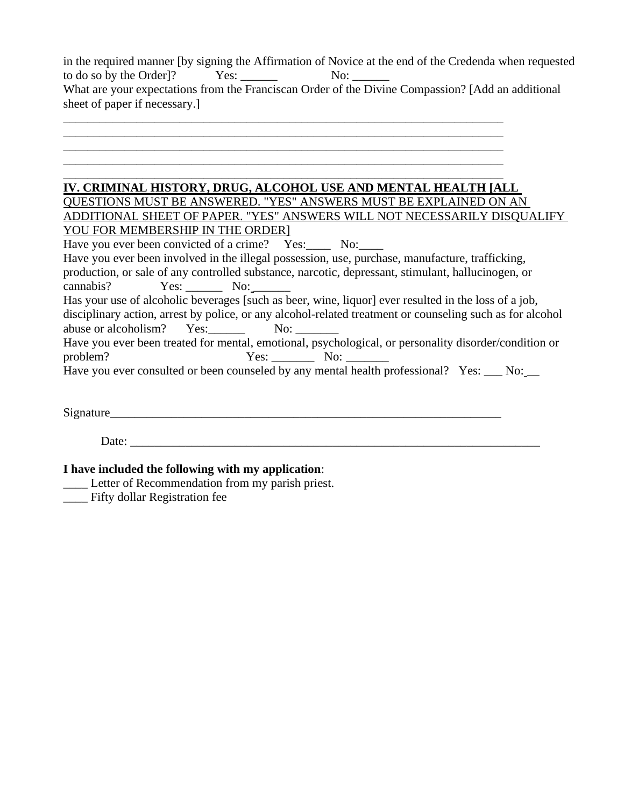|                                      |     | in the required manner (by signing the Affirmation of Novice at the end of the Credenda when requested |
|--------------------------------------|-----|--------------------------------------------------------------------------------------------------------|
| to do so by the Order <sup>[2]</sup> | No: |                                                                                                        |
|                                      |     | What are your expectations from the Franciscan Order of the Divine Compassion? [Add an additional      |
| sheet of paper if necessary.         |     |                                                                                                        |
|                                      |     |                                                                                                        |

#### **IV. CRIMINAL HISTORY, DRUG, ALCOHOL USE AND MENTAL HEALTH [ALL**

\_\_\_\_\_\_\_\_\_\_\_\_\_\_\_\_\_\_\_\_\_\_\_\_\_\_\_\_\_\_\_\_\_\_\_\_\_\_\_\_\_\_\_\_\_\_\_\_\_\_\_\_\_\_\_\_\_\_\_\_\_\_\_\_\_\_\_\_\_\_\_\_ \_\_\_\_\_\_\_\_\_\_\_\_\_\_\_\_\_\_\_\_\_\_\_\_\_\_\_\_\_\_\_\_\_\_\_\_\_\_\_\_\_\_\_\_\_\_\_\_\_\_\_\_\_\_\_\_\_\_\_\_\_\_\_\_\_\_\_\_\_\_\_\_ \_\_\_\_\_\_\_\_\_\_\_\_\_\_\_\_\_\_\_\_\_\_\_\_\_\_\_\_\_\_\_\_\_\_\_\_\_\_\_\_\_\_\_\_\_\_\_\_\_\_\_\_\_\_\_\_\_\_\_\_\_\_\_\_\_\_\_\_\_\_\_\_ \_\_\_\_\_\_\_\_\_\_\_\_\_\_\_\_\_\_\_\_\_\_\_\_\_\_\_\_\_\_\_\_\_\_\_\_\_\_\_\_\_\_\_\_\_\_\_\_\_\_\_\_\_\_\_\_\_\_\_\_\_\_\_\_\_\_\_\_\_\_\_\_

QUESTIONS MUST BE ANSWERED. "YES" ANSWERS MUST BE EXPLAINED ON AN ADDITIONAL SHEET OF PAPER. "YES" ANSWERS WILL NOT NECESSARILY DISQUALIFY YOU FOR MEMBERSHIP IN THE ORDER]

Have you ever been convicted of a crime? Yes: No: Have you ever been involved in the illegal possession, use, purchase, manufacture, trafficking, production, or sale of any controlled substance, narcotic, depressant, stimulant, hallucinogen, or cannabis? Yes: No: Has your use of alcoholic beverages [such as beer, wine, liquor] ever resulted in the loss of a job, disciplinary action, arrest by police, or any alcohol-related treatment or counseling such as for alcohol abuse or alcoholism? Yes: No: \_\_\_\_\_ Have you ever been treated for mental, emotional, psychological, or personality disorder/condition or problem? Yes: No: \_\_\_\_\_\_\_\_ No: \_\_\_\_\_\_\_\_

Have you ever consulted or been counseled by any mental health professional? Yes: No:

Signature\_\_\_\_\_\_\_\_\_\_\_\_\_\_\_\_\_\_\_\_\_\_\_\_\_\_\_\_\_\_\_\_\_\_\_\_\_\_\_\_\_\_\_\_\_\_\_\_\_\_\_\_\_\_\_\_\_\_\_\_\_\_\_\_

Date:

#### **I have included the following with my application**:

- \_\_\_\_ Letter of Recommendation from my parish priest.
- \_\_\_\_ Fifty dollar Registration fee